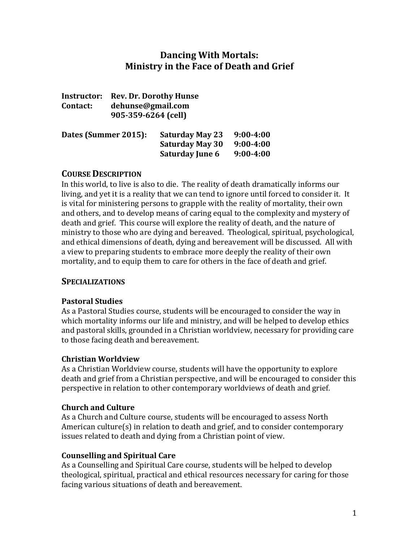# **Dancing With Mortals: Ministry in the Face of Death and Grief**

| <b>Instructor:</b> | <b>Rev. Dr. Dorothy Hunse</b> |
|--------------------|-------------------------------|
| Contact:           | dehunse@gmail.com             |
|                    | 905-359-6264 (cell)           |

| Dates (Summer 2015): | <b>Saturday May 23</b> | $9:00 - 4:00$ |  |
|----------------------|------------------------|---------------|--|
|                      | <b>Saturday May 30</b> | $9:00 - 4:00$ |  |
|                      | <b>Saturday June 6</b> | $9:00 - 4:00$ |  |

## **COURSE DESCRIPTION**

In this world, to live is also to die. The reality of death dramatically informs our living, and yet it is a reality that we can tend to ignore until forced to consider it. It is vital for ministering persons to grapple with the reality of mortality, their own and others, and to develop means of caring equal to the complexity and mystery of death and grief. This course will explore the reality of death, and the nature of ministry to those who are dying and bereaved. Theological, spiritual, psychological, and ethical dimensions of death, dying and bereavement will be discussed. All with a view to preparing students to embrace more deeply the reality of their own mortality, and to equip them to care for others in the face of death and grief.

## **SPECIALIZATIONS**

## **Pastoral Studies**

As a Pastoral Studies course, students will be encouraged to consider the way in which mortality informs our life and ministry, and will be helped to develop ethics and pastoral skills, grounded in a Christian worldview, necessary for providing care to those facing death and bereavement.

## **Christian Worldview**

As a Christian Worldview course, students will have the opportunity to explore death and grief from a Christian perspective, and will be encouraged to consider this perspective in relation to other contemporary worldviews of death and grief.

## **Church and Culture**

As a Church and Culture course, students will be encouraged to assess North American culture(s) in relation to death and grief, and to consider contemporary issues related to death and dying from a Christian point of view.

## **Counselling and Spiritual Care**

As a Counselling and Spiritual Care course, students will be helped to develop theological, spiritual, practical and ethical resources necessary for caring for those facing various situations of death and bereavement.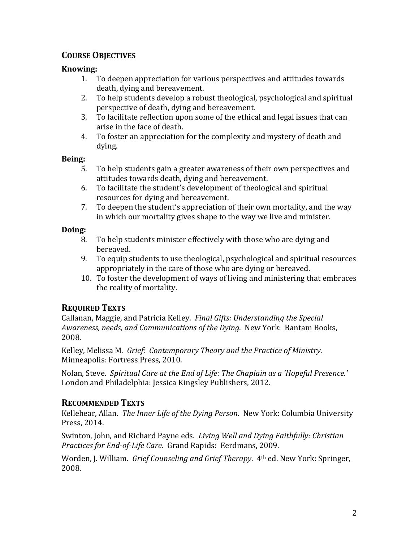# **COURSE OBJECTIVES**

## **Knowing:**

- 1. To deepen appreciation for various perspectives and attitudes towards death, dying and bereavement.
- 2. To help students develop a robust theological, psychological and spiritual perspective of death, dying and bereavement.
- 3. To facilitate reflection upon some of the ethical and legal issues that can arise in the face of death.
- 4. To foster an appreciation for the complexity and mystery of death and dying.

## **Being:**

- 5. To help students gain a greater awareness of their own perspectives and attitudes towards death, dying and bereavement.
- 6. To facilitate the student's development of theological and spiritual resources for dying and bereavement.
- 7. To deepen the student's appreciation of their own mortality, and the way in which our mortality gives shape to the way we live and minister.

## **Doing:**

- 8. To help students minister effectively with those who are dying and bereaved.
- 9. To equip students to use theological, psychological and spiritual resources appropriately in the care of those who are dying or bereaved.
- 10. To foster the development of ways of living and ministering that embraces the reality of mortality.

# **REQUIRED TEXTS**

Callanan, Maggie, and Patricia Kelley. *Final Gifts: Understanding the Special Awareness, needs, and Communications of the Dying*. New York: Bantam Books, 2008.

Kelley, Melissa M. *Grief: Contemporary Theory and the Practice of Ministry*. Minneapolis: Fortress Press, 2010.

Nolan, Steve. *Spiritual Care at the End of Life*: *The Chaplain as a 'Hopeful Presence.'*  London and Philadelphia: Jessica Kingsley Publishers, 2012.

# **RECOMMENDED TEXTS**

Kellehear, Allan. *The Inner Life of the Dying Person*. New York: Columbia University Press, 2014.

Swinton, John, and Richard Payne eds. *Living Well and Dying Faithfully: Christian Practices for End-of-Life Care*. Grand Rapids: Eerdmans, 2009.

Worden, J. William. *Grief Counseling and Grief Therapy*. 4th ed. New York: Springer, 2008.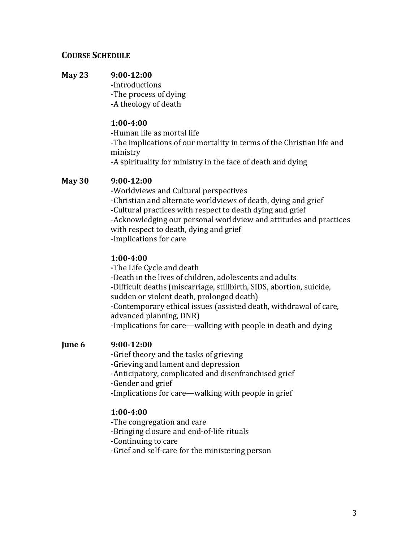## **COURSE SCHEDULE**

## **May 23 9:00-12:00**

**-**Introductions -The process of dying -A theology of death

#### **1:00-4:00**

**-**Human life as mortal life -The implications of our mortality in terms of the Christian life and ministry **-**A spirituality for ministry in the face of death and dying

## **May 30 9:00-12:00**

**-**Worldviews and Cultural perspectives -Christian and alternate worldviews of death, dying and grief -Cultural practices with respect to death dying and grief -Acknowledging our personal worldview and attitudes and practices with respect to death, dying and grief -Implications for care

#### **1:00-4:00**

**-**The Life Cycle and death -Death in the lives of children, adolescents and adults -Difficult deaths (miscarriage, stillbirth, SIDS, abortion, suicide, sudden or violent death, prolonged death) -Contemporary ethical issues (assisted death, withdrawal of care, advanced planning, DNR) -Implications for care—walking with people in death and dying

## **June 6 9:00-12:00**

**-**Grief theory and the tasks of grieving -Grieving and lament and depression -Anticipatory, complicated and disenfranchised grief -Gender and grief -Implications for care—walking with people in grief

#### **1:00-4:00**

**-**The congregation and care -Bringing closure and end-of-life rituals -Continuing to care -Grief and self-care for the ministering person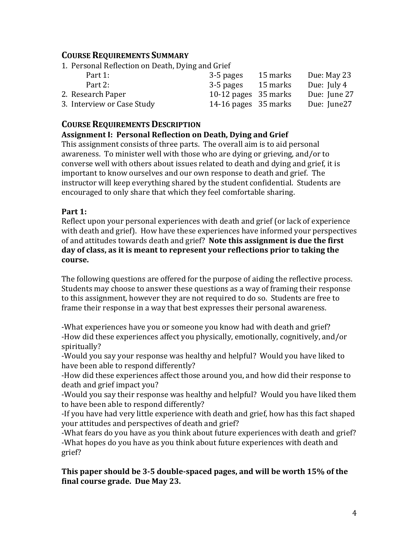## **COURSE REQUIREMENTS SUMMARY**

1. Personal Reflection on Death, Dying and Grief

|           |           | Due: May 23                                                              |
|-----------|-----------|--------------------------------------------------------------------------|
| 3-5 pages |           | Due: July 4                                                              |
|           |           | Due: June 27                                                             |
|           |           | Due: June27                                                              |
|           | 3-5 pages | 15 marks<br>15 marks<br>10-12 pages $35$ marks<br>14-16 pages $35$ marks |

## **COURSE REQUIREMENTS DESCRIPTION**

## **Assignment I: Personal Reflection on Death, Dying and Grief**

This assignment consists of three parts. The overall aim is to aid personal awareness. To minister well with those who are dying or grieving, and/or to converse well with others about issues related to death and dying and grief, it is important to know ourselves and our own response to death and grief. The instructor will keep everything shared by the student confidential. Students are encouraged to only share that which they feel comfortable sharing.

## **Part 1:**

Reflect upon your personal experiences with death and grief (or lack of experience with death and grief). How have these experiences have informed your perspectives of and attitudes towards death and grief? **Note this assignment is due the first day of class, as it is meant to represent your reflections prior to taking the course.**

The following questions are offered for the purpose of aiding the reflective process. Students may choose to answer these questions as a way of framing their response to this assignment, however they are not required to do so. Students are free to frame their response in a way that best expresses their personal awareness.

-What experiences have you or someone you know had with death and grief? -How did these experiences affect you physically, emotionally, cognitively, and/or spiritually?

-Would you say your response was healthy and helpful? Would you have liked to have been able to respond differently?

-How did these experiences affect those around you, and how did their response to death and grief impact you?

-Would you say their response was healthy and helpful? Would you have liked them to have been able to respond differently?

-If you have had very little experience with death and grief, how has this fact shaped your attitudes and perspectives of death and grief?

-What fears do you have as you think about future experiences with death and grief? -What hopes do you have as you think about future experiences with death and grief?

**This paper should be 3-5 double-spaced pages, and will be worth 15% of the final course grade. Due May 23.**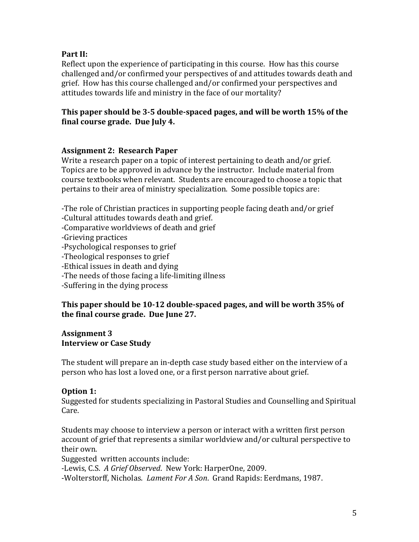## **Part II:**

Reflect upon the experience of participating in this course. How has this course challenged and/or confirmed your perspectives of and attitudes towards death and grief. How has this course challenged and/or confirmed your perspectives and attitudes towards life and ministry in the face of our mortality?

## **This paper should be 3-5 double-spaced pages, and will be worth 15% of the final course grade. Due July 4.**

## **Assignment 2: Research Paper**

Write a research paper on a topic of interest pertaining to death and/or grief. Topics are to be approved in advance by the instructor. Include material from course textbooks when relevant. Students are encouraged to choose a topic that pertains to their area of ministry specialization. Some possible topics are:

-The role of Christian practices in supporting people facing death and/or grief

-Cultural attitudes towards death and grief.

-Comparative worldviews of death and grief

-Grieving practices

-Psychological responses to grief

-Theological responses to grief

-Ethical issues in death and dying

-The needs of those facing a life-limiting illness

-Suffering in the dying process

## **This paper should be 10-12 double-spaced pages, and will be worth 35% of the final course grade. Due June 27.**

#### **Assignment 3 Interview or Case Study**

The student will prepare an in-depth case study based either on the interview of a person who has lost a loved one, or a first person narrative about grief.

## **Option 1:**

Suggested for students specializing in Pastoral Studies and Counselling and Spiritual Care.

Students may choose to interview a person or interact with a written first person account of grief that represents a similar worldview and/or cultural perspective to their own.

Suggested written accounts include:

-Lewis, C.S. *A Grief Observed*. New York: HarperOne, 2009.

-Wolterstorff, Nicholas. *Lament For A Son*. Grand Rapids: Eerdmans, 1987.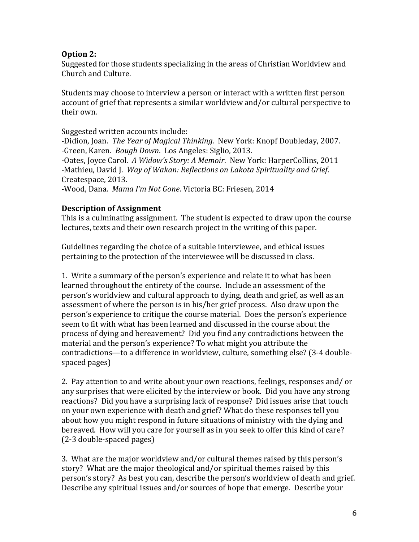## **Option 2:**

Suggested for those students specializing in the areas of Christian Worldview and Church and Culture.

Students may choose to interview a person or interact with a written first person account of grief that represents a similar worldview and/or cultural perspective to their own.

Suggested written accounts include:

-Didion, Joan. *The Year of Magical Thinking*. New York: Knopf Doubleday, 2007. -Green, Karen. *Bough Down*. Los Angeles: Siglio, 2013. -Oates, Joyce Carol. *A Widow's Story: A Memoir*. New York: HarperCollins, 2011

-Mathieu, David J. *Way of Wakan: Reflections on Lakota Spirituality and Grief*. Createspace, 2013.

-Wood, Dana. *Mama I'm Not Gone*. Victoria BC: Friesen, 2014

## **Description of Assignment**

This is a culminating assignment. The student is expected to draw upon the course lectures, texts and their own research project in the writing of this paper.

Guidelines regarding the choice of a suitable interviewee, and ethical issues pertaining to the protection of the interviewee will be discussed in class.

1. Write a summary of the person's experience and relate it to what has been learned throughout the entirety of the course. Include an assessment of the person's worldview and cultural approach to dying, death and grief, as well as an assessment of where the person is in his/her grief process. Also draw upon the person's experience to critique the course material. Does the person's experience seem to fit with what has been learned and discussed in the course about the process of dying and bereavement? Did you find any contradictions between the material and the person's experience? To what might you attribute the contradictions—to a difference in worldview, culture, something else? (3-4 doublespaced pages)

2. Pay attention to and write about your own reactions, feelings, responses and/ or any surprises that were elicited by the interview or book. Did you have any strong reactions? Did you have a surprising lack of response? Did issues arise that touch on your own experience with death and grief? What do these responses tell you about how you might respond in future situations of ministry with the dying and bereaved. How will you care for yourself as in you seek to offer this kind of care? (2-3 double-spaced pages)

3. What are the major worldview and/or cultural themes raised by this person's story? What are the major theological and/or spiritual themes raised by this person's story? As best you can, describe the person's worldview of death and grief. Describe any spiritual issues and/or sources of hope that emerge. Describe your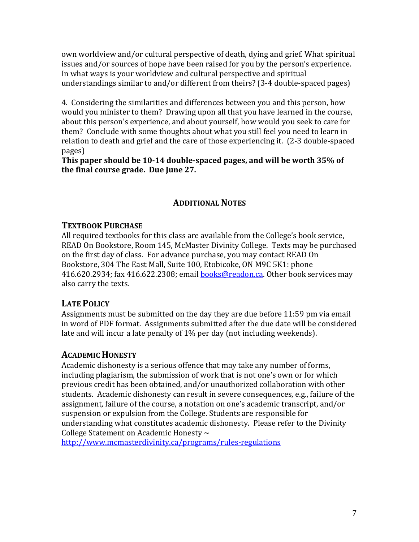own worldview and/or cultural perspective of death, dying and grief. What spiritual issues and/or sources of hope have been raised for you by the person's experience. In what ways is your worldview and cultural perspective and spiritual understandings similar to and/or different from theirs? (3-4 double-spaced pages)

4. Considering the similarities and differences between you and this person, how would you minister to them? Drawing upon all that you have learned in the course, about this person's experience, and about yourself, how would you seek to care for them? Conclude with some thoughts about what you still feel you need to learn in relation to death and grief and the care of those experiencing it. (2-3 double-spaced pages)

**This paper should be 10-14 double-spaced pages, and will be worth 35% of the final course grade. Due June 27.**

# **ADDITIONAL NOTES**

# **TEXTBOOK PURCHASE**

All required textbooks for this class are available from the College's book service, READ On Bookstore, Room 145, McMaster Divinity College. Texts may be purchased on the first day of class. For advance purchase, you may contact READ On Bookstore, 304 The East Mall, Suite 100, Etobicoke, ON M9C 5K1: phone 416.620.2934; fax 416.622.2308; email **books@readon.ca**. Other book services may also carry the texts.

# **LATE POLICY**

Assignments must be submitted on the day they are due before 11:59 pm via email in word of PDF format. Assignments submitted after the due date will be considered late and will incur a late penalty of 1% per day (not including weekends).

# **ACADEMIC HONESTY**

Academic dishonesty is a serious offence that may take any number of forms, including plagiarism, the submission of work that is not one's own or for which previous credit has been obtained, and/or unauthorized collaboration with other students. Academic dishonesty can result in severe consequences, e.g., failure of the assignment, failure of the course, a notation on one's academic transcript, and/or suspension or expulsion from the College. Students are responsible for understanding what constitutes academic dishonesty. Please refer to the Divinity College Statement on Academic Honesty ~

http://www.mcmasterdivinity.ca/programs/rules-regulations